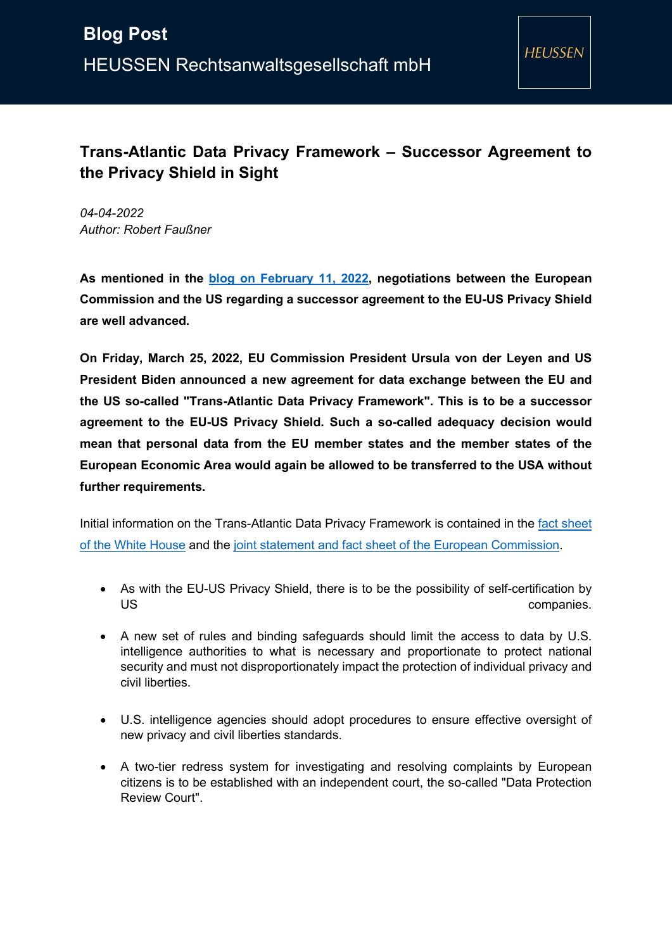## **Trans-Atlantic Data Privacy Framework – Successor Agreement to the Privacy Shield in Sight**

*04-04-2022 Author: Robert Faußner*

**As mentioned in the [blog on February 11, 2022,](https://www.heussen-law.de/assets/Heussen-DE/BLOG/RFA-220211.pdf) negotiations between the European Commission and the US regarding a successor agreement to the EU-US Privacy Shield are well advanced.**

**On Friday, March 25, 2022, EU Commission President Ursula von der Leyen and US President Biden announced a new agreement for data exchange between the EU and the US so-called "Trans-Atlantic Data Privacy Framework". This is to be a successor agreement to the EU-US Privacy Shield. Such a so-called adequacy decision would mean that personal data from the EU member states and the member states of the European Economic Area would again be allowed to be transferred to the USA without further requirements.**

Initial information on the Trans-Atlantic Data Privacy Framework is contained in the [fact sheet](https://www.whitehouse.gov/briefing-room/statements-releases/2022/03/25/fact-sheet-united-states-and-european-commission-announce-trans-atlantic-data-privacy-framework/)  [of the White House](https://www.whitehouse.gov/briefing-room/statements-releases/2022/03/25/fact-sheet-united-states-and-european-commission-announce-trans-atlantic-data-privacy-framework/) and the [joint statement and fact sheet of the European Commission.](https://ec.europa.eu/commission/presscorner/detail/en/ip_22_2087)

- As with the EU-US Privacy Shield, there is to be the possibility of self-certification by US companies.
- A new set of rules and binding safeguards should limit the access to data by U.S. intelligence authorities to what is necessary and proportionate to protect national security and must not disproportionately impact the protection of individual privacy and civil liberties.
- U.S. intelligence agencies should adopt procedures to ensure effective oversight of new privacy and civil liberties standards.
- A two-tier redress system for investigating and resolving complaints by European citizens is to be established with an independent court, the so-called "Data Protection Review Court".